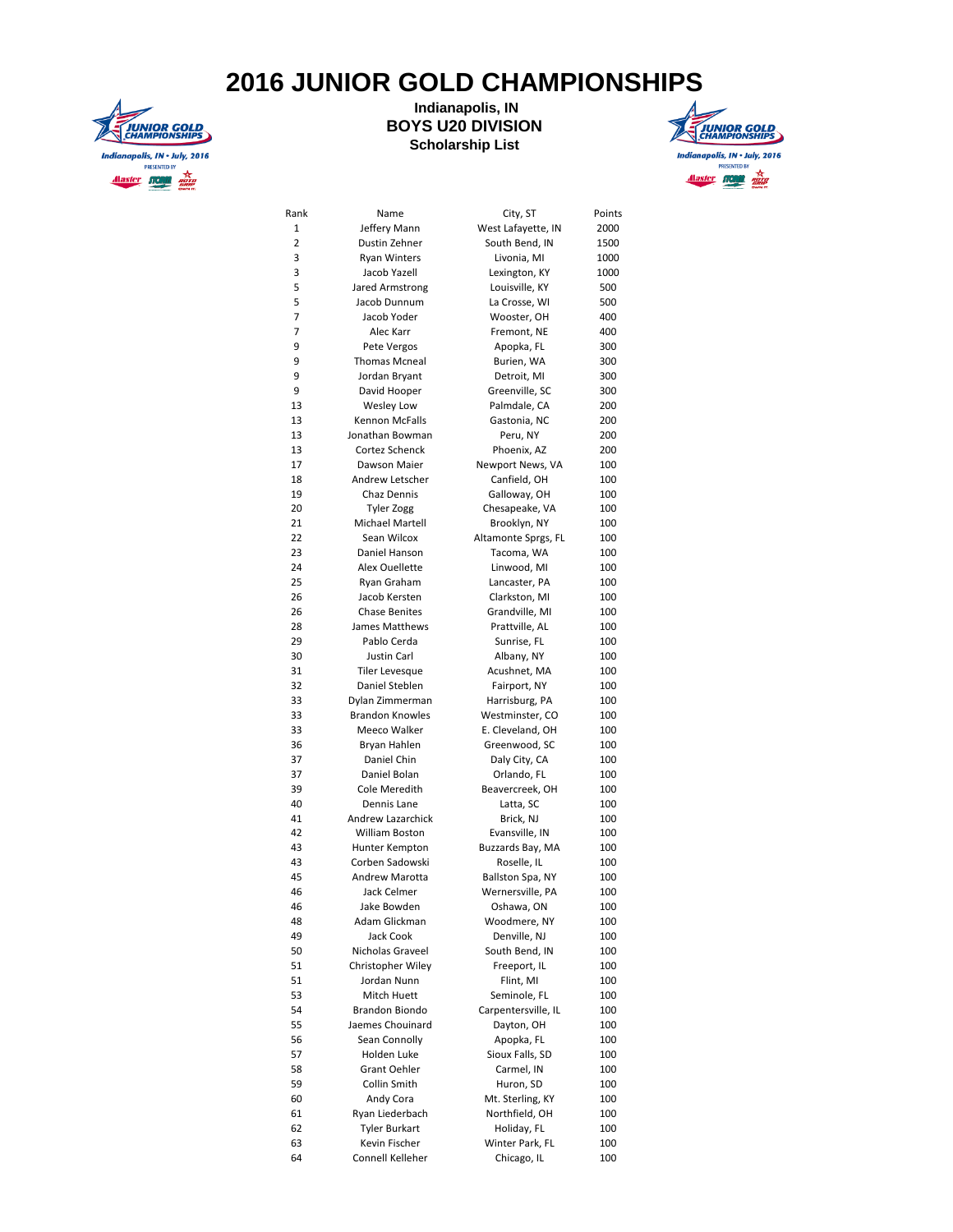## **2016 JUNIOR GOLD CHAMPIONSHIPS**



## **Indianapolis, IN BOYS U20 DIVISION Scholarship List**



| Rank | Name                   | City, ST                                                                                                                                                                                                                                                                                                                                                                                                                                                                                                                                                                                                                                                                                                                                                                                                                                                                                                        | Points |
|------|------------------------|-----------------------------------------------------------------------------------------------------------------------------------------------------------------------------------------------------------------------------------------------------------------------------------------------------------------------------------------------------------------------------------------------------------------------------------------------------------------------------------------------------------------------------------------------------------------------------------------------------------------------------------------------------------------------------------------------------------------------------------------------------------------------------------------------------------------------------------------------------------------------------------------------------------------|--------|
| 1    | Jeffery Mann           | West Lafayette, IN                                                                                                                                                                                                                                                                                                                                                                                                                                                                                                                                                                                                                                                                                                                                                                                                                                                                                              | 2000   |
| 2    | Dustin Zehner          |                                                                                                                                                                                                                                                                                                                                                                                                                                                                                                                                                                                                                                                                                                                                                                                                                                                                                                                 | 1500   |
| 3    | <b>Ryan Winters</b>    |                                                                                                                                                                                                                                                                                                                                                                                                                                                                                                                                                                                                                                                                                                                                                                                                                                                                                                                 | 1000   |
| 3    | Jacob Yazell           |                                                                                                                                                                                                                                                                                                                                                                                                                                                                                                                                                                                                                                                                                                                                                                                                                                                                                                                 | 1000   |
| 5    | Jared Armstrong        |                                                                                                                                                                                                                                                                                                                                                                                                                                                                                                                                                                                                                                                                                                                                                                                                                                                                                                                 | 500    |
| 5    | Jacob Dunnum           | La Crosse, WI                                                                                                                                                                                                                                                                                                                                                                                                                                                                                                                                                                                                                                                                                                                                                                                                                                                                                                   | 500    |
| 7    | Jacob Yoder            | Wooster, OH                                                                                                                                                                                                                                                                                                                                                                                                                                                                                                                                                                                                                                                                                                                                                                                                                                                                                                     | 400    |
| 7    | Alec Karr              | Fremont, NE                                                                                                                                                                                                                                                                                                                                                                                                                                                                                                                                                                                                                                                                                                                                                                                                                                                                                                     | 400    |
| 9    | Pete Vergos            | Apopka, FL                                                                                                                                                                                                                                                                                                                                                                                                                                                                                                                                                                                                                                                                                                                                                                                                                                                                                                      | 300    |
| 9    | <b>Thomas Mcneal</b>   | Burien, WA                                                                                                                                                                                                                                                                                                                                                                                                                                                                                                                                                                                                                                                                                                                                                                                                                                                                                                      | 300    |
| 9    | Jordan Bryant          | Detroit, MI                                                                                                                                                                                                                                                                                                                                                                                                                                                                                                                                                                                                                                                                                                                                                                                                                                                                                                     | 300    |
| 9    | David Hooper           | Greenville, SC                                                                                                                                                                                                                                                                                                                                                                                                                                                                                                                                                                                                                                                                                                                                                                                                                                                                                                  | 300    |
| 13   | Wesley Low             | Palmdale, CA                                                                                                                                                                                                                                                                                                                                                                                                                                                                                                                                                                                                                                                                                                                                                                                                                                                                                                    | 200    |
| 13   | Kennon McFalls         | South Bend, IN<br>Livonia, MI<br>Lexington, KY<br>Louisville, KY<br>Gastonia, NC<br>Peru, NY<br>Phoenix, AZ<br>Newport News, VA<br>Canfield, OH<br>Galloway, OH<br>Chesapeake, VA<br>Brooklyn, NY<br>Altamonte Sprgs, FL<br>Tacoma, WA<br>Linwood, MI<br>Lancaster, PA<br>Clarkston, MI<br>Grandville, MI<br>Prattville, AL<br>Sunrise, FL<br>Albany, NY<br>Acushnet, MA<br>Fairport, NY<br>Harrisburg, PA<br>Westminster, CO<br>E. Cleveland, OH<br>Greenwood, SC<br>Daly City, CA<br>Orlando, FL<br>Beavercreek, OH<br>Latta, SC<br>Brick, NJ<br>Evansville, IN<br>Buzzards Bay, MA<br>Roselle, IL<br>Ballston Spa, NY<br>Wernersville, PA<br>Oshawa, ON<br>Woodmere, NY<br>Denville, NJ<br>South Bend, IN<br>Freeport, IL<br>Flint, MI<br>Seminole, FL<br>Carpentersville, IL<br>Dayton, OH<br>Apopka, FL<br>Sioux Falls, SD<br>Carmel, IN<br>Huron, SD<br>Mt. Sterling, KY<br>Northfield, OH<br>Holiday, FL | 200    |
| 13   | Jonathan Bowman        |                                                                                                                                                                                                                                                                                                                                                                                                                                                                                                                                                                                                                                                                                                                                                                                                                                                                                                                 | 200    |
| 13   | Cortez Schenck         |                                                                                                                                                                                                                                                                                                                                                                                                                                                                                                                                                                                                                                                                                                                                                                                                                                                                                                                 | 200    |
| 17   | Dawson Maier           |                                                                                                                                                                                                                                                                                                                                                                                                                                                                                                                                                                                                                                                                                                                                                                                                                                                                                                                 | 100    |
| 18   | Andrew Letscher        |                                                                                                                                                                                                                                                                                                                                                                                                                                                                                                                                                                                                                                                                                                                                                                                                                                                                                                                 | 100    |
| 19   | Chaz Dennis            |                                                                                                                                                                                                                                                                                                                                                                                                                                                                                                                                                                                                                                                                                                                                                                                                                                                                                                                 | 100    |
| 20   | <b>Tyler Zogg</b>      |                                                                                                                                                                                                                                                                                                                                                                                                                                                                                                                                                                                                                                                                                                                                                                                                                                                                                                                 | 100    |
| 21   | <b>Michael Martell</b> |                                                                                                                                                                                                                                                                                                                                                                                                                                                                                                                                                                                                                                                                                                                                                                                                                                                                                                                 | 100    |
| 22   | Sean Wilcox            |                                                                                                                                                                                                                                                                                                                                                                                                                                                                                                                                                                                                                                                                                                                                                                                                                                                                                                                 | 100    |
| 23   | Daniel Hanson          |                                                                                                                                                                                                                                                                                                                                                                                                                                                                                                                                                                                                                                                                                                                                                                                                                                                                                                                 | 100    |
| 24   | Alex Ouellette         |                                                                                                                                                                                                                                                                                                                                                                                                                                                                                                                                                                                                                                                                                                                                                                                                                                                                                                                 | 100    |
| 25   | Ryan Graham            |                                                                                                                                                                                                                                                                                                                                                                                                                                                                                                                                                                                                                                                                                                                                                                                                                                                                                                                 | 100    |
| 26   | Jacob Kersten          |                                                                                                                                                                                                                                                                                                                                                                                                                                                                                                                                                                                                                                                                                                                                                                                                                                                                                                                 | 100    |
| 26   | <b>Chase Benites</b>   |                                                                                                                                                                                                                                                                                                                                                                                                                                                                                                                                                                                                                                                                                                                                                                                                                                                                                                                 | 100    |
| 28   | James Matthews         |                                                                                                                                                                                                                                                                                                                                                                                                                                                                                                                                                                                                                                                                                                                                                                                                                                                                                                                 | 100    |
| 29   | Pablo Cerda            |                                                                                                                                                                                                                                                                                                                                                                                                                                                                                                                                                                                                                                                                                                                                                                                                                                                                                                                 | 100    |
| 30   | Justin Carl            |                                                                                                                                                                                                                                                                                                                                                                                                                                                                                                                                                                                                                                                                                                                                                                                                                                                                                                                 | 100    |
| 31   | <b>Tiler Levesque</b>  |                                                                                                                                                                                                                                                                                                                                                                                                                                                                                                                                                                                                                                                                                                                                                                                                                                                                                                                 | 100    |
| 32   | Daniel Steblen         |                                                                                                                                                                                                                                                                                                                                                                                                                                                                                                                                                                                                                                                                                                                                                                                                                                                                                                                 | 100    |
| 33   | Dylan Zimmerman        |                                                                                                                                                                                                                                                                                                                                                                                                                                                                                                                                                                                                                                                                                                                                                                                                                                                                                                                 | 100    |
| 33   | <b>Brandon Knowles</b> |                                                                                                                                                                                                                                                                                                                                                                                                                                                                                                                                                                                                                                                                                                                                                                                                                                                                                                                 | 100    |
| 33   | Meeco Walker           |                                                                                                                                                                                                                                                                                                                                                                                                                                                                                                                                                                                                                                                                                                                                                                                                                                                                                                                 | 100    |
| 36   | Bryan Hahlen           |                                                                                                                                                                                                                                                                                                                                                                                                                                                                                                                                                                                                                                                                                                                                                                                                                                                                                                                 | 100    |
| 37   | Daniel Chin            |                                                                                                                                                                                                                                                                                                                                                                                                                                                                                                                                                                                                                                                                                                                                                                                                                                                                                                                 | 100    |
| 37   | Daniel Bolan           |                                                                                                                                                                                                                                                                                                                                                                                                                                                                                                                                                                                                                                                                                                                                                                                                                                                                                                                 | 100    |
| 39   | Cole Meredith          |                                                                                                                                                                                                                                                                                                                                                                                                                                                                                                                                                                                                                                                                                                                                                                                                                                                                                                                 | 100    |
| 40   | Dennis Lane            |                                                                                                                                                                                                                                                                                                                                                                                                                                                                                                                                                                                                                                                                                                                                                                                                                                                                                                                 | 100    |
| 41   | Andrew Lazarchick      |                                                                                                                                                                                                                                                                                                                                                                                                                                                                                                                                                                                                                                                                                                                                                                                                                                                                                                                 |        |
|      | <b>William Boston</b>  |                                                                                                                                                                                                                                                                                                                                                                                                                                                                                                                                                                                                                                                                                                                                                                                                                                                                                                                 | 100    |
| 42   | Hunter Kempton         |                                                                                                                                                                                                                                                                                                                                                                                                                                                                                                                                                                                                                                                                                                                                                                                                                                                                                                                 | 100    |
| 43   |                        | Winter Park, FL<br>Chicago, IL                                                                                                                                                                                                                                                                                                                                                                                                                                                                                                                                                                                                                                                                                                                                                                                                                                                                                  | 100    |
| 43   | Corben Sadowski        |                                                                                                                                                                                                                                                                                                                                                                                                                                                                                                                                                                                                                                                                                                                                                                                                                                                                                                                 | 100    |
| 45   | Andrew Marotta         |                                                                                                                                                                                                                                                                                                                                                                                                                                                                                                                                                                                                                                                                                                                                                                                                                                                                                                                 | 100    |
| 46   | Jack Celmer            |                                                                                                                                                                                                                                                                                                                                                                                                                                                                                                                                                                                                                                                                                                                                                                                                                                                                                                                 | 100    |
| 46   | Jake Bowden            |                                                                                                                                                                                                                                                                                                                                                                                                                                                                                                                                                                                                                                                                                                                                                                                                                                                                                                                 | 100    |
| 48   | Adam Glickman          |                                                                                                                                                                                                                                                                                                                                                                                                                                                                                                                                                                                                                                                                                                                                                                                                                                                                                                                 | 100    |
| 49   | Jack Cook              |                                                                                                                                                                                                                                                                                                                                                                                                                                                                                                                                                                                                                                                                                                                                                                                                                                                                                                                 | 100    |
| 50   | Nicholas Graveel       |                                                                                                                                                                                                                                                                                                                                                                                                                                                                                                                                                                                                                                                                                                                                                                                                                                                                                                                 | 100    |
| 51   | Christopher Wiley      |                                                                                                                                                                                                                                                                                                                                                                                                                                                                                                                                                                                                                                                                                                                                                                                                                                                                                                                 | 100    |
| 51   | Jordan Nunn            |                                                                                                                                                                                                                                                                                                                                                                                                                                                                                                                                                                                                                                                                                                                                                                                                                                                                                                                 | 100    |
| 53   | Mitch Huett            |                                                                                                                                                                                                                                                                                                                                                                                                                                                                                                                                                                                                                                                                                                                                                                                                                                                                                                                 | 100    |
| 54   | Brandon Biondo         |                                                                                                                                                                                                                                                                                                                                                                                                                                                                                                                                                                                                                                                                                                                                                                                                                                                                                                                 | 100    |
| 55   | Jaemes Chouinard       |                                                                                                                                                                                                                                                                                                                                                                                                                                                                                                                                                                                                                                                                                                                                                                                                                                                                                                                 | 100    |
| 56   | Sean Connolly          |                                                                                                                                                                                                                                                                                                                                                                                                                                                                                                                                                                                                                                                                                                                                                                                                                                                                                                                 | 100    |
| 57   | Holden Luke            |                                                                                                                                                                                                                                                                                                                                                                                                                                                                                                                                                                                                                                                                                                                                                                                                                                                                                                                 | 100    |
| 58   | Grant Oehler           |                                                                                                                                                                                                                                                                                                                                                                                                                                                                                                                                                                                                                                                                                                                                                                                                                                                                                                                 | 100    |
| 59   | Collin Smith           |                                                                                                                                                                                                                                                                                                                                                                                                                                                                                                                                                                                                                                                                                                                                                                                                                                                                                                                 | 100    |
| 60   | Andy Cora              |                                                                                                                                                                                                                                                                                                                                                                                                                                                                                                                                                                                                                                                                                                                                                                                                                                                                                                                 | 100    |
| 61   | Ryan Liederbach        |                                                                                                                                                                                                                                                                                                                                                                                                                                                                                                                                                                                                                                                                                                                                                                                                                                                                                                                 | 100    |
| 62   | Tyler Burkart          |                                                                                                                                                                                                                                                                                                                                                                                                                                                                                                                                                                                                                                                                                                                                                                                                                                                                                                                 | 100    |
| 63   | Kevin Fischer          |                                                                                                                                                                                                                                                                                                                                                                                                                                                                                                                                                                                                                                                                                                                                                                                                                                                                                                                 | 100    |
| 64   | Connell Kelleher       |                                                                                                                                                                                                                                                                                                                                                                                                                                                                                                                                                                                                                                                                                                                                                                                                                                                                                                                 | 100    |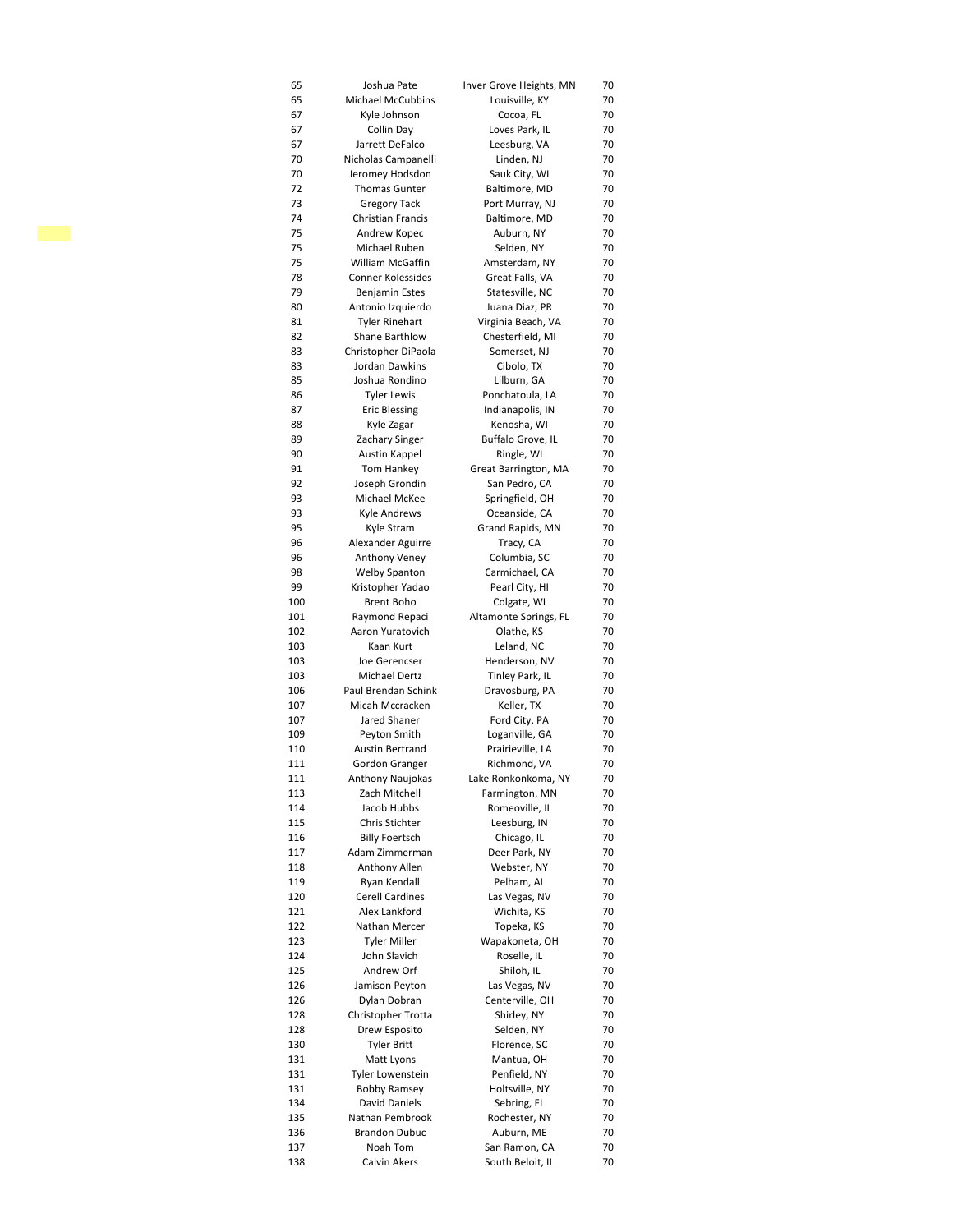| 65         | Joshua Pate                          | Inver Grove Heights, MN      | 70       |
|------------|--------------------------------------|------------------------------|----------|
| 65         | <b>Michael McCubbins</b>             | Louisville, KY               | 70       |
| 67         | Kyle Johnson                         | Cocoa, FL                    | 70       |
| 67         | Collin Day                           | Loves Park, IL               | 70       |
| 67         | Jarrett DeFalco                      | Leesburg, VA                 | 70       |
| 70         | Nicholas Campanelli                  | Linden, NJ                   | 70       |
| 70         | Jeromey Hodsdon                      | Sauk City, WI                | 70       |
| 72         | <b>Thomas Gunter</b>                 | Baltimore, MD                | 70       |
| 73         | <b>Gregory Tack</b>                  | Port Murray, NJ              | 70       |
| 74         | Christian Francis                    | Baltimore, MD                | 70       |
| 75         | Andrew Kopec                         | Auburn, NY                   | 70       |
| 75         | Michael Ruben                        | Selden, NY                   | 70       |
| 75         | William McGaffin                     | Amsterdam, NY                | 70       |
| 78         | <b>Conner Kolessides</b>             | Great Falls, VA              | 70       |
| 79         | Benjamin Estes                       | Statesville, NC              | 70       |
| 80         | Antonio Izquierdo                    | Juana Diaz, PR               | 70       |
| 81         | <b>Tyler Rinehart</b>                | Virginia Beach, VA           | 70       |
| 82         | Shane Barthlow                       | Chesterfield, MI             | 70       |
| 83         | Christopher DiPaola                  | Somerset, NJ                 | 70       |
| 83         | Jordan Dawkins                       | Cibolo, TX                   | 70       |
| 85         | Joshua Rondino                       | Lilburn, GA                  | 70       |
| 86         | <b>Tyler Lewis</b>                   | Ponchatoula, LA              | 70       |
| 87         | <b>Eric Blessing</b>                 | Indianapolis, IN             | 70       |
| 88         | Kyle Zagar                           | Kenosha, WI                  | 70       |
| 89         | Zachary Singer                       | Buffalo Grove, IL            | 70       |
| 90         | Austin Kappel                        | Ringle, WI                   | 70       |
| 91         | Tom Hankey                           | Great Barrington, MA         | 70       |
| 92         | Joseph Grondin                       | San Pedro, CA                | 70       |
| 93         | Michael McKee                        | Springfield, OH              | 70       |
| 93         | <b>Kyle Andrews</b>                  | Oceanside, CA                | 70       |
| 95         | Kyle Stram                           | Grand Rapids, MN             | 70       |
| 96         | Alexander Aguirre                    | Tracy, CA                    | 70       |
| 96         | Anthony Veney                        | Columbia, SC                 | 70       |
| 98         | <b>Welby Spanton</b>                 | Carmichael, CA               | 70       |
| 99         | Kristopher Yadao                     | Pearl City, HI               | 70       |
| 100        | Brent Boho                           | Colgate, WI                  | 70       |
| 101        | Raymond Repaci                       | Altamonte Springs, FL        | 70       |
| 102        | Aaron Yuratovich                     | Olathe, KS                   | 70       |
| 103        | Kaan Kurt                            | Leland, NC                   | 70       |
| 103        | Joe Gerencser                        | Henderson, NV                | 70       |
| 103        | Michael Dertz                        | Tinley Park, IL              | 70       |
| 106        | Paul Brendan Schink                  | Dravosburg, PA               | 70       |
| 107        | Micah Mccracken                      | Keller, TX                   | 70       |
| 107        | Jared Shaner                         | Ford City, PA                | 70       |
| 109        | Peyton Smith                         | Loganville, GA               | 70       |
| 110        | <b>Austin Bertrand</b>               | Prairieville, LA             | 70       |
| 111        | Gordon Granger                       | Richmond, VA                 | 70       |
| 111        | Anthony Naujokas                     | Lake Ronkonkoma, NY          | 70       |
| 113        | Zach Mitchell                        | Farmington, MN               | 70       |
| 114        | Jacob Hubbs                          | Romeoville, IL               | 70       |
| 115        | Chris Stichter                       | Leesburg, IN                 | 70       |
| 116        | <b>Billy Foertsch</b>                | Chicago, IL                  | 70       |
| 117        | Adam Zimmerman                       | Deer Park, NY                | 70       |
| 118        | Anthony Allen                        | Webster, NY                  | 70       |
| 119        | Ryan Kendall                         | Pelham, AL                   | 70       |
| 120        | Cerell Cardines                      | Las Vegas, NV                | 70       |
| 121        | Alex Lankford                        | Wichita, KS                  | 70       |
| 122        | Nathan Mercer                        | Topeka, KS                   | 70       |
| 123        | Tyler Miller                         | Wapakoneta, OH               | 70       |
| 124        | John Slavich                         | Roselle, IL                  | 70       |
| 125        | Andrew Orf                           | Shiloh, IL                   | 70       |
| 126        | Jamison Peyton                       | Las Vegas, NV                | 70       |
| 126        | Dylan Dobran                         | Centerville, OH              | 70       |
| 128        | Christopher Trotta<br>Drew Esposito  | Shirley, NY<br>Selden, NY    | 70<br>70 |
| 128        | Tyler Britt                          | Florence, SC                 | 70       |
| 130        |                                      |                              |          |
| 131        | Matt Lyons                           | Mantua, OH                   | 70       |
| 131        | Tyler Lowenstein                     | Penfield, NY                 | 70       |
| 131        | Bobby Ramsey<br><b>David Daniels</b> | Holtsville, NY               | 70       |
| 134<br>135 | Nathan Pembrook                      | Sebring, FL<br>Rochester, NY | 70<br>70 |
| 136        | <b>Brandon Dubuc</b>                 | Auburn, ME                   | 70       |
|            | Noah Tom                             | San Ramon, CA                | 70       |
| 137<br>138 | Calvin Akers                         | South Beloit, IL             | 70       |
|            |                                      |                              |          |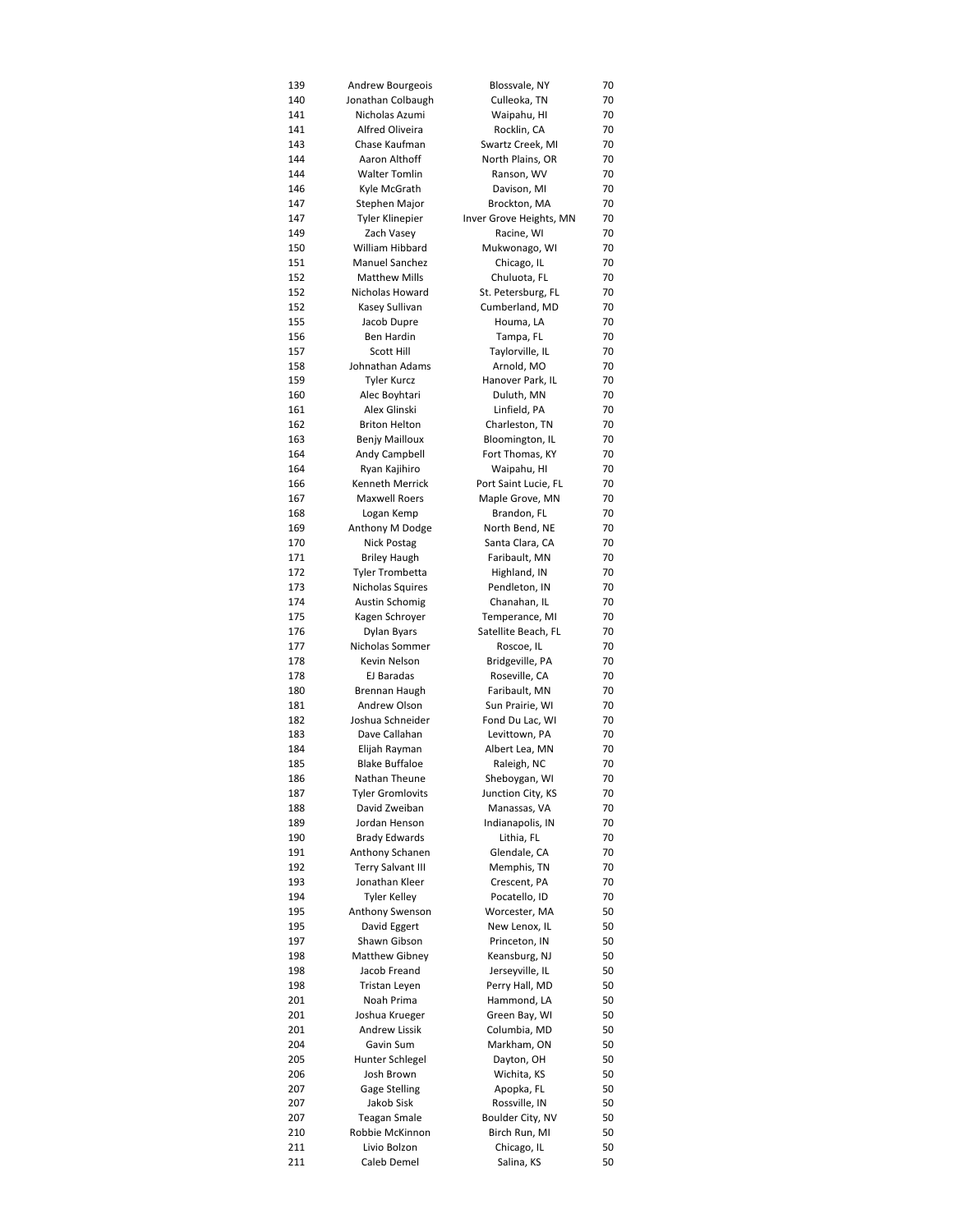| 139        | Andrew Bourgeois                               | Blossvale, NY                         | 70       |
|------------|------------------------------------------------|---------------------------------------|----------|
| 140        | Jonathan Colbaugh                              | Culleoka, TN                          | 70       |
| 141        | Nicholas Azumi                                 | Waipahu, HI                           | 70       |
| 141        | <b>Alfred Oliveira</b>                         | Rocklin, CA                           | 70       |
| 143        | Chase Kaufman                                  | Swartz Creek, MI                      | 70       |
| 144        | Aaron Althoff                                  | North Plains, OR                      | 70       |
| 144        | <b>Walter Tomlin</b>                           | Ranson, WV                            | 70       |
| 146        | Kyle McGrath                                   | Davison, MI                           | 70       |
| 147        | Stephen Major                                  | Brockton, MA                          | 70       |
| 147        | <b>Tyler Klinepier</b>                         | Inver Grove Heights, MN<br>Racine, WI | 70<br>70 |
| 149<br>150 | Zach Vasey<br>William Hibbard                  | Mukwonago, WI                         | 70       |
| 151        | <b>Manuel Sanchez</b>                          | Chicago, IL                           | 70       |
| 152        | <b>Matthew Mills</b>                           | Chuluota, FL                          | 70       |
| 152        | Nicholas Howard                                | St. Petersburg, FL                    | 70       |
| 152        | Kasey Sullivan                                 | Cumberland, MD                        | 70       |
| 155        | Jacob Dupre                                    | Houma, LA                             | 70       |
| 156        | Ben Hardin                                     | Tampa, FL                             | 70       |
| 157        | <b>Scott Hill</b>                              | Taylorville, IL                       | 70       |
| 158        | Johnathan Adams                                | Arnold, MO                            | 70       |
| 159        | <b>Tyler Kurcz</b>                             | Hanover Park, IL                      | 70       |
| 160        | Alec Boyhtari                                  | Duluth, MN                            | 70       |
| 161        | Alex Glinski                                   | Linfield, PA                          | 70       |
| 162        | <b>Briton Helton</b>                           | Charleston, TN                        | 70       |
| 163        | <b>Benjy Mailloux</b>                          | Bloomington, IL                       | 70       |
| 164        | Andy Campbell                                  | Fort Thomas, KY                       | 70       |
| 164        | Ryan Kajihiro                                  | Waipahu, HI                           | 70       |
| 166        | <b>Kenneth Merrick</b><br><b>Maxwell Roers</b> | Port Saint Lucie, FL                  | 70       |
| 167<br>168 | Logan Kemp                                     | Maple Grove, MN<br>Brandon, FL        | 70<br>70 |
| 169        | Anthony M Dodge                                | North Bend, NE                        | 70       |
| 170        | Nick Postag                                    | Santa Clara, CA                       | 70       |
| 171        | <b>Briley Haugh</b>                            | Faribault, MN                         | 70       |
| 172        | <b>Tyler Trombetta</b>                         | Highland, IN                          | 70       |
| 173        | Nicholas Squires                               | Pendleton, IN                         | 70       |
| 174        | Austin Schomig                                 | Chanahan, IL                          | 70       |
| 175        | Kagen Schroyer                                 | Temperance, MI                        | 70       |
| 176        | Dylan Byars                                    | Satellite Beach, FL                   | 70       |
| 177        | Nicholas Sommer                                | Roscoe, IL                            | 70       |
| 178        | Kevin Nelson                                   | Bridgeville, PA                       | 70       |
| 178        | EJ Baradas                                     | Roseville, CA                         | 70       |
| 180        | Brennan Haugh                                  | Faribault, MN                         | 70       |
| 181        | Andrew Olson                                   | Sun Prairie, WI                       | 70       |
| 182<br>183 | Joshua Schneider<br>Dave Callahan              | Fond Du Lac, WI<br>Levittown, PA      | 70<br>70 |
| 184        | Elijah Rayman                                  | Albert Lea, MN                        | 70       |
| 185        | <b>Blake Buffaloe</b>                          | Raleigh, NC                           | 70       |
| 186        | Nathan Theune                                  | Sheboygan, WI                         | 70       |
| 187        | Tyler Gromlovits                               | Junction City, KS                     | 70       |
| 188        | David Zweiban                                  | Manassas, VA                          | 70       |
| 189        | Jordan Henson                                  | Indianapolis, IN                      | 70       |
| 190        | <b>Brady Edwards</b>                           | Lithia, FL                            | 70       |
| 191        | Anthony Schanen                                | Glendale, CA                          | 70       |
| 192        | <b>Terry Salvant III</b>                       | Memphis, TN                           | 70       |
| 193        | Jonathan Kleer                                 | Crescent, PA                          | 70       |
| 194        | <b>Tyler Kelley</b>                            | Pocatello, ID                         | 70       |
| 195        | Anthony Swenson                                | Worcester, MA                         | 50       |
| 195        | David Eggert                                   | New Lenox, IL                         | 50       |
| 197        | Shawn Gibson                                   | Princeton, IN                         | 50       |
| 198        | Matthew Gibney                                 | Keansburg, NJ                         | 50       |
| 198        | Jacob Freand                                   | Jerseyville, IL<br>Perry Hall, MD     | 50       |
| 198<br>201 | Tristan Leyen<br>Noah Prima                    | Hammond, LA                           | 50<br>50 |
| 201        | Joshua Krueger                                 | Green Bay, WI                         | 50       |
| 201        | Andrew Lissik                                  | Columbia, MD                          | 50       |
| 204        | Gavin Sum                                      | Markham, ON                           | 50       |
| 205        | Hunter Schlegel                                | Dayton, OH                            | 50       |
| 206        | Josh Brown                                     | Wichita, KS                           | 50       |
| 207        | Gage Stelling                                  | Apopka, FL                            | 50       |
| 207        | Jakob Sisk                                     | Rossville, IN                         | 50       |
| 207        | Teagan Smale                                   | Boulder City, NV                      | 50       |
| 210        | Robbie McKinnon                                | Birch Run, MI                         | 50       |
| 211        | Livio Bolzon                                   | Chicago, IL                           | 50       |
| 211        | Caleb Demel                                    | Salina, KS                            | 50       |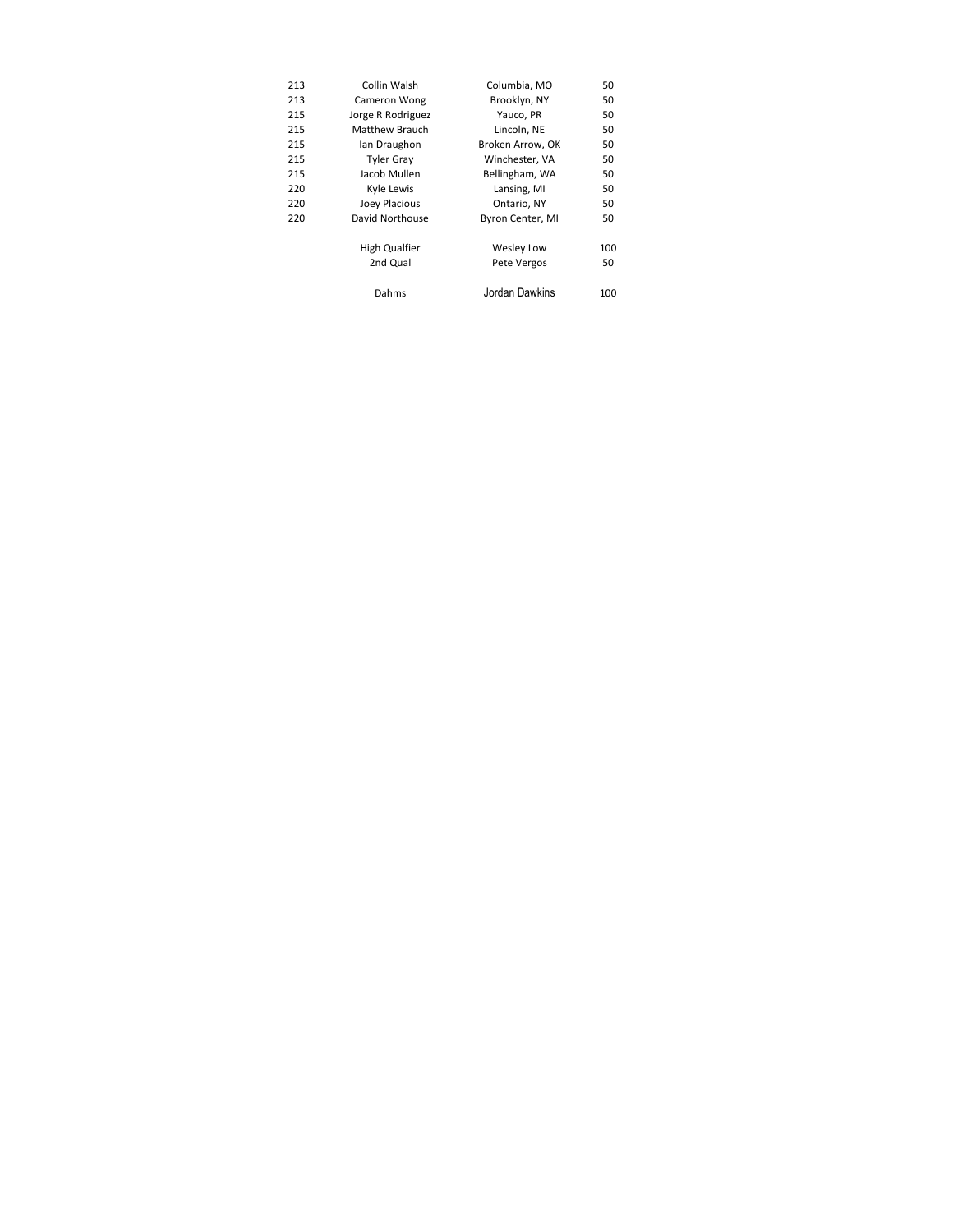| 213 | Collin Walsh          | Columbia, MO      | 50  |
|-----|-----------------------|-------------------|-----|
| 213 | Cameron Wong          | Brooklyn, NY      | 50  |
| 215 | Jorge R Rodriguez     | Yauco, PR         | 50  |
| 215 | <b>Matthew Brauch</b> | Lincoln, NE       | 50  |
| 215 | lan Draughon          | Broken Arrow, OK  | 50  |
| 215 | <b>Tyler Gray</b>     | Winchester, VA    | 50  |
| 215 | Jacob Mullen          | Bellingham, WA    | 50  |
| 220 | Kyle Lewis            | Lansing, MI       | 50  |
| 220 | Joey Placious         | Ontario, NY       | 50  |
| 220 | David Northouse       | Byron Center, MI  | 50  |
|     | High Qualfier         | <b>Wesley Low</b> | 100 |
|     | 2nd Qual              | Pete Vergos       | 50  |
|     | Dahms                 | Jordan Dawkins    | 100 |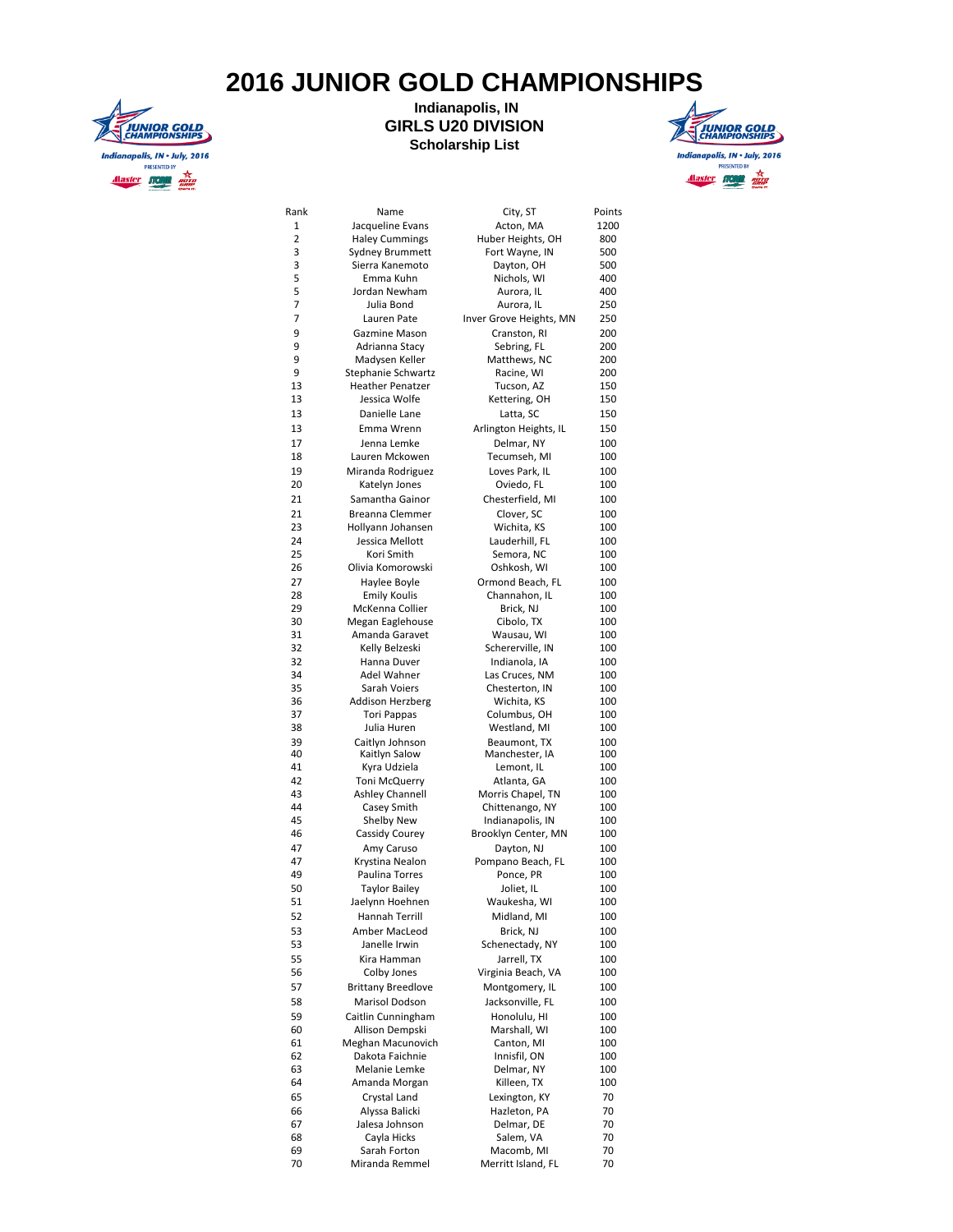## **2016 JUNIOR GOLD CHAMPIONSHIPS**



## **Indianapolis, IN GIRLS U20 DIVISION Scholarship List**



| Rank     | Name                          |                                                                                                                                                                                                                                                                                                                                                                                                                                                                                                                                                                                                                                                                                                                                                                                                                                                                                                                                                                                                                                                           | Points     |
|----------|-------------------------------|-----------------------------------------------------------------------------------------------------------------------------------------------------------------------------------------------------------------------------------------------------------------------------------------------------------------------------------------------------------------------------------------------------------------------------------------------------------------------------------------------------------------------------------------------------------------------------------------------------------------------------------------------------------------------------------------------------------------------------------------------------------------------------------------------------------------------------------------------------------------------------------------------------------------------------------------------------------------------------------------------------------------------------------------------------------|------------|
| 1        | Jacqueline Evans              |                                                                                                                                                                                                                                                                                                                                                                                                                                                                                                                                                                                                                                                                                                                                                                                                                                                                                                                                                                                                                                                           | 1200       |
| 2        | <b>Haley Cummings</b>         | Huber Heights, OH                                                                                                                                                                                                                                                                                                                                                                                                                                                                                                                                                                                                                                                                                                                                                                                                                                                                                                                                                                                                                                         | 800        |
| 3        | Sydney Brummett               | City, ST<br>Acton, MA<br>Fort Wayne, IN<br>Dayton, OH<br>Nichols, WI<br>Aurora, IL<br>Aurora, IL<br>Inver Grove Heights, MN<br>Cranston, RI<br>Sebring, FL<br>Matthews, NC<br>Racine, WI<br>Tucson, AZ<br>Kettering, OH<br>Latta, SC<br>Arlington Heights, IL<br>Delmar, NY<br>Tecumseh, MI<br>Loves Park, IL<br>Oviedo, FL<br>Chesterfield, MI<br>Clover, SC<br>Wichita, KS<br>Lauderhill, FL<br>Semora, NC<br>Oshkosh, WI<br>Ormond Beach, FL<br>Channahon, IL<br>Brick, NJ<br>Cibolo, TX<br>Wausau, WI<br>Schererville, IN<br>Indianola, IA<br>Las Cruces, NM<br>Chesterton, IN<br>Wichita, KS<br>Columbus, OH<br>Westland, MI<br>Beaumont, TX<br>Manchester, IA<br>Lemont, IL<br>Atlanta, GA<br>Morris Chapel, TN<br>Chittenango, NY<br>Indianapolis, IN<br>Brooklyn Center, MN<br>Dayton, NJ<br>Pompano Beach, FL<br>Ponce, PR<br>Joliet, IL<br>Waukesha, WI<br>Midland, MI<br>Brick, NJ<br>Schenectady, NY<br>Jarrell, TX<br>Virginia Beach, VA<br>Montgomery, IL<br>Jacksonville, FL<br>Honolulu, HI<br>Marshall, WI<br>Canton, MI<br>Innisfil, ON | 500        |
| 3        | Sierra Kanemoto               |                                                                                                                                                                                                                                                                                                                                                                                                                                                                                                                                                                                                                                                                                                                                                                                                                                                                                                                                                                                                                                                           | 500        |
| 5        | Emma Kuhn                     |                                                                                                                                                                                                                                                                                                                                                                                                                                                                                                                                                                                                                                                                                                                                                                                                                                                                                                                                                                                                                                                           | 400        |
| 5        | Jordan Newham                 |                                                                                                                                                                                                                                                                                                                                                                                                                                                                                                                                                                                                                                                                                                                                                                                                                                                                                                                                                                                                                                                           | 400        |
| 7        | Julia Bond                    |                                                                                                                                                                                                                                                                                                                                                                                                                                                                                                                                                                                                                                                                                                                                                                                                                                                                                                                                                                                                                                                           | 250        |
| 7        | Lauren Pate                   |                                                                                                                                                                                                                                                                                                                                                                                                                                                                                                                                                                                                                                                                                                                                                                                                                                                                                                                                                                                                                                                           | 250        |
| 9        | Gazmine Mason                 |                                                                                                                                                                                                                                                                                                                                                                                                                                                                                                                                                                                                                                                                                                                                                                                                                                                                                                                                                                                                                                                           | 200        |
| 9        | Adrianna Stacy                |                                                                                                                                                                                                                                                                                                                                                                                                                                                                                                                                                                                                                                                                                                                                                                                                                                                                                                                                                                                                                                                           | 200        |
| 9        | Madysen Keller                |                                                                                                                                                                                                                                                                                                                                                                                                                                                                                                                                                                                                                                                                                                                                                                                                                                                                                                                                                                                                                                                           | 200        |
| 9        | Stephanie Schwartz            |                                                                                                                                                                                                                                                                                                                                                                                                                                                                                                                                                                                                                                                                                                                                                                                                                                                                                                                                                                                                                                                           | 200        |
| 13       | <b>Heather Penatzer</b>       |                                                                                                                                                                                                                                                                                                                                                                                                                                                                                                                                                                                                                                                                                                                                                                                                                                                                                                                                                                                                                                                           | 150        |
| 13       | Jessica Wolfe                 |                                                                                                                                                                                                                                                                                                                                                                                                                                                                                                                                                                                                                                                                                                                                                                                                                                                                                                                                                                                                                                                           | 150        |
| 13       | Danielle Lane                 |                                                                                                                                                                                                                                                                                                                                                                                                                                                                                                                                                                                                                                                                                                                                                                                                                                                                                                                                                                                                                                                           | 150        |
| 13       | Emma Wrenn                    |                                                                                                                                                                                                                                                                                                                                                                                                                                                                                                                                                                                                                                                                                                                                                                                                                                                                                                                                                                                                                                                           | 150        |
| 17       | Jenna Lemke                   |                                                                                                                                                                                                                                                                                                                                                                                                                                                                                                                                                                                                                                                                                                                                                                                                                                                                                                                                                                                                                                                           | 100        |
| 18       | Lauren Mckowen                |                                                                                                                                                                                                                                                                                                                                                                                                                                                                                                                                                                                                                                                                                                                                                                                                                                                                                                                                                                                                                                                           | 100        |
| 19       | Miranda Rodriguez             |                                                                                                                                                                                                                                                                                                                                                                                                                                                                                                                                                                                                                                                                                                                                                                                                                                                                                                                                                                                                                                                           | 100        |
| 20       | Katelyn Jones                 |                                                                                                                                                                                                                                                                                                                                                                                                                                                                                                                                                                                                                                                                                                                                                                                                                                                                                                                                                                                                                                                           | 100        |
| 21       | Samantha Gainor               |                                                                                                                                                                                                                                                                                                                                                                                                                                                                                                                                                                                                                                                                                                                                                                                                                                                                                                                                                                                                                                                           | 100        |
| 21       | <b>Breanna Clemmer</b>        |                                                                                                                                                                                                                                                                                                                                                                                                                                                                                                                                                                                                                                                                                                                                                                                                                                                                                                                                                                                                                                                           | 100        |
| 23       | Hollyann Johansen             |                                                                                                                                                                                                                                                                                                                                                                                                                                                                                                                                                                                                                                                                                                                                                                                                                                                                                                                                                                                                                                                           | 100        |
| 24       | Jessica Mellott               |                                                                                                                                                                                                                                                                                                                                                                                                                                                                                                                                                                                                                                                                                                                                                                                                                                                                                                                                                                                                                                                           | 100        |
| 25       | Kori Smith                    |                                                                                                                                                                                                                                                                                                                                                                                                                                                                                                                                                                                                                                                                                                                                                                                                                                                                                                                                                                                                                                                           | 100        |
| 26       | Olivia Komorowski             |                                                                                                                                                                                                                                                                                                                                                                                                                                                                                                                                                                                                                                                                                                                                                                                                                                                                                                                                                                                                                                                           | 100        |
| 27       | Haylee Boyle                  |                                                                                                                                                                                                                                                                                                                                                                                                                                                                                                                                                                                                                                                                                                                                                                                                                                                                                                                                                                                                                                                           | 100        |
| 28       | <b>Emily Koulis</b>           |                                                                                                                                                                                                                                                                                                                                                                                                                                                                                                                                                                                                                                                                                                                                                                                                                                                                                                                                                                                                                                                           | 100        |
| 29       | McKenna Collier               |                                                                                                                                                                                                                                                                                                                                                                                                                                                                                                                                                                                                                                                                                                                                                                                                                                                                                                                                                                                                                                                           | 100        |
| 30       | Megan Eaglehouse              |                                                                                                                                                                                                                                                                                                                                                                                                                                                                                                                                                                                                                                                                                                                                                                                                                                                                                                                                                                                                                                                           | 100        |
| 31       | Amanda Garavet                |                                                                                                                                                                                                                                                                                                                                                                                                                                                                                                                                                                                                                                                                                                                                                                                                                                                                                                                                                                                                                                                           | 100        |
| 32       | Kelly Belzeski                |                                                                                                                                                                                                                                                                                                                                                                                                                                                                                                                                                                                                                                                                                                                                                                                                                                                                                                                                                                                                                                                           | 100        |
| 32       | Hanna Duver                   |                                                                                                                                                                                                                                                                                                                                                                                                                                                                                                                                                                                                                                                                                                                                                                                                                                                                                                                                                                                                                                                           | 100        |
| 34       | Adel Wahner                   |                                                                                                                                                                                                                                                                                                                                                                                                                                                                                                                                                                                                                                                                                                                                                                                                                                                                                                                                                                                                                                                           | 100        |
| 35       | Sarah Voiers                  |                                                                                                                                                                                                                                                                                                                                                                                                                                                                                                                                                                                                                                                                                                                                                                                                                                                                                                                                                                                                                                                           | 100        |
| 36       | Addison Herzberg              |                                                                                                                                                                                                                                                                                                                                                                                                                                                                                                                                                                                                                                                                                                                                                                                                                                                                                                                                                                                                                                                           | 100        |
| 37       | <b>Tori Pappas</b>            |                                                                                                                                                                                                                                                                                                                                                                                                                                                                                                                                                                                                                                                                                                                                                                                                                                                                                                                                                                                                                                                           | 100        |
| 38       | Julia Huren                   |                                                                                                                                                                                                                                                                                                                                                                                                                                                                                                                                                                                                                                                                                                                                                                                                                                                                                                                                                                                                                                                           | 100        |
| 39<br>40 | Caitlyn Johnson               |                                                                                                                                                                                                                                                                                                                                                                                                                                                                                                                                                                                                                                                                                                                                                                                                                                                                                                                                                                                                                                                           | 100<br>100 |
| 41       | Kaitlyn Salow<br>Kyra Udziela |                                                                                                                                                                                                                                                                                                                                                                                                                                                                                                                                                                                                                                                                                                                                                                                                                                                                                                                                                                                                                                                           | 100        |
| 42       | Toni McQuerry                 |                                                                                                                                                                                                                                                                                                                                                                                                                                                                                                                                                                                                                                                                                                                                                                                                                                                                                                                                                                                                                                                           | 100        |
| 43       | <b>Ashley Channell</b>        |                                                                                                                                                                                                                                                                                                                                                                                                                                                                                                                                                                                                                                                                                                                                                                                                                                                                                                                                                                                                                                                           | 100        |
| 44       | Casey Smith                   |                                                                                                                                                                                                                                                                                                                                                                                                                                                                                                                                                                                                                                                                                                                                                                                                                                                                                                                                                                                                                                                           | 100        |
| 45       | Shelby New                    |                                                                                                                                                                                                                                                                                                                                                                                                                                                                                                                                                                                                                                                                                                                                                                                                                                                                                                                                                                                                                                                           | 100        |
| 46       | Cassidy Courey                | Delmar, NY<br>Killeen, TX<br>Lexington, KY<br>Hazleton, PA<br>Delmar, DE<br>Salem, VA<br>Macomb, MI<br>Merritt Island, FL                                                                                                                                                                                                                                                                                                                                                                                                                                                                                                                                                                                                                                                                                                                                                                                                                                                                                                                                 | 100        |
| 47       | Amy Caruso                    |                                                                                                                                                                                                                                                                                                                                                                                                                                                                                                                                                                                                                                                                                                                                                                                                                                                                                                                                                                                                                                                           | 100        |
| 47       | Krystina Nealon               |                                                                                                                                                                                                                                                                                                                                                                                                                                                                                                                                                                                                                                                                                                                                                                                                                                                                                                                                                                                                                                                           | 100        |
| 49       | Paulina Torres                |                                                                                                                                                                                                                                                                                                                                                                                                                                                                                                                                                                                                                                                                                                                                                                                                                                                                                                                                                                                                                                                           | 100        |
| 50       | <b>Taylor Bailey</b>          |                                                                                                                                                                                                                                                                                                                                                                                                                                                                                                                                                                                                                                                                                                                                                                                                                                                                                                                                                                                                                                                           | 100        |
| 51       | Jaelynn Hoehnen               |                                                                                                                                                                                                                                                                                                                                                                                                                                                                                                                                                                                                                                                                                                                                                                                                                                                                                                                                                                                                                                                           | 100        |
| 52       | Hannah Terrill                |                                                                                                                                                                                                                                                                                                                                                                                                                                                                                                                                                                                                                                                                                                                                                                                                                                                                                                                                                                                                                                                           | 100        |
| 53       | Amber MacLeod                 |                                                                                                                                                                                                                                                                                                                                                                                                                                                                                                                                                                                                                                                                                                                                                                                                                                                                                                                                                                                                                                                           | 100        |
| 53       | Janelle Irwin                 |                                                                                                                                                                                                                                                                                                                                                                                                                                                                                                                                                                                                                                                                                                                                                                                                                                                                                                                                                                                                                                                           | 100        |
| 55       | Kira Hamman                   |                                                                                                                                                                                                                                                                                                                                                                                                                                                                                                                                                                                                                                                                                                                                                                                                                                                                                                                                                                                                                                                           | 100        |
| 56       | Colby Jones                   |                                                                                                                                                                                                                                                                                                                                                                                                                                                                                                                                                                                                                                                                                                                                                                                                                                                                                                                                                                                                                                                           | 100        |
| 57       | <b>Brittany Breedlove</b>     |                                                                                                                                                                                                                                                                                                                                                                                                                                                                                                                                                                                                                                                                                                                                                                                                                                                                                                                                                                                                                                                           | 100        |
| 58       | Marisol Dodson                |                                                                                                                                                                                                                                                                                                                                                                                                                                                                                                                                                                                                                                                                                                                                                                                                                                                                                                                                                                                                                                                           | 100        |
| 59       | Caitlin Cunningham            |                                                                                                                                                                                                                                                                                                                                                                                                                                                                                                                                                                                                                                                                                                                                                                                                                                                                                                                                                                                                                                                           | 100        |
| 60       | Allison Dempski               |                                                                                                                                                                                                                                                                                                                                                                                                                                                                                                                                                                                                                                                                                                                                                                                                                                                                                                                                                                                                                                                           | 100        |
| 61       | Meghan Macunovich             |                                                                                                                                                                                                                                                                                                                                                                                                                                                                                                                                                                                                                                                                                                                                                                                                                                                                                                                                                                                                                                                           | 100        |
| 62       | Dakota Faichnie               |                                                                                                                                                                                                                                                                                                                                                                                                                                                                                                                                                                                                                                                                                                                                                                                                                                                                                                                                                                                                                                                           | 100        |
| 63       | Melanie Lemke                 |                                                                                                                                                                                                                                                                                                                                                                                                                                                                                                                                                                                                                                                                                                                                                                                                                                                                                                                                                                                                                                                           | 100        |
| 64       | Amanda Morgan                 |                                                                                                                                                                                                                                                                                                                                                                                                                                                                                                                                                                                                                                                                                                                                                                                                                                                                                                                                                                                                                                                           | 100        |
| 65       | Crystal Land                  |                                                                                                                                                                                                                                                                                                                                                                                                                                                                                                                                                                                                                                                                                                                                                                                                                                                                                                                                                                                                                                                           | 70         |
| 66       | Alyssa Balicki                |                                                                                                                                                                                                                                                                                                                                                                                                                                                                                                                                                                                                                                                                                                                                                                                                                                                                                                                                                                                                                                                           | 70         |
| 67       | Jalesa Johnson                |                                                                                                                                                                                                                                                                                                                                                                                                                                                                                                                                                                                                                                                                                                                                                                                                                                                                                                                                                                                                                                                           | 70         |
| 68       | Cayla Hicks                   |                                                                                                                                                                                                                                                                                                                                                                                                                                                                                                                                                                                                                                                                                                                                                                                                                                                                                                                                                                                                                                                           | 70         |
| 69       | Sarah Forton                  |                                                                                                                                                                                                                                                                                                                                                                                                                                                                                                                                                                                                                                                                                                                                                                                                                                                                                                                                                                                                                                                           | 70         |
| 70       | Miranda Remmel                |                                                                                                                                                                                                                                                                                                                                                                                                                                                                                                                                                                                                                                                                                                                                                                                                                                                                                                                                                                                                                                                           | 70         |
|          |                               |                                                                                                                                                                                                                                                                                                                                                                                                                                                                                                                                                                                                                                                                                                                                                                                                                                                                                                                                                                                                                                                           |            |

| . чуу ч<br>Acton, MA                | 12                           |
|-------------------------------------|------------------------------|
| Huber Heights, OH                   | 8                            |
| Fort Wayne, IN                      | 5                            |
| Dayton, OH                          | 5<br>4                       |
| Nichols, WI<br>Aurora, IL           | 4                            |
| Aurora, IL                          | 2!                           |
| er Grove Heights, MN                | 2!                           |
| Cranston, RI                        | $\overline{2}$               |
| Sebring, FL                         | $\overline{2}$               |
| Matthews, NC                        | $\overline{2}$               |
| Racine, WI<br>Tucson, AZ            | $\overline{2}$<br>1.         |
| Kettering, OH                       | 1!                           |
| Latta, SC                           | 1!                           |
| <b>Arlington Heights, IL</b>        | 1!                           |
| Delmar, NY                          | 1(                           |
| Tecumseh, MI                        | $\mathbf{1}$                 |
| Loves Park, IL                      | $\mathbf{1}$                 |
| Oviedo, FL                          | $\mathbf{1}$                 |
| Chesterfield, MI<br>Clover, SC      | $\mathbf{1}$<br>$\mathbf{1}$ |
| Wichita, KS                         | $\mathbf{1}$                 |
| Lauderhill, FL                      | $\mathbf{1}$                 |
| Semora, NC                          | $\mathbf{1}$                 |
| Oshkosh, WI                         | $\mathbf{1}$                 |
| Ormond Beach, FL                    | $\mathbf{1}$                 |
| Channahon, IL                       | $\mathbf{1}$                 |
| Brick, NJ<br>Cibolo, TX             | $\mathbf{1}$<br>$\mathbf{1}$ |
| Wausau, WI                          | $\mathbf{1}$                 |
| Schererville, IN                    | 1(                           |
| Indianola, IA                       | $\mathbf{1}$                 |
| Las Cruces, NM                      | $\mathbf{1}$                 |
| Chesterton, IN                      | $\mathbf{1}$                 |
| Wichita, KS                         | $\mathbf{1}$                 |
| Columbus, OH<br>Westland, MI        | $\mathbf{1}$<br>$\mathbf{1}$ |
| Beaumont, TX                        | 1(                           |
| Manchester, IA                      | $\mathbf{1}$                 |
| Lemont, IL                          | $\mathbf{1}$                 |
| Atlanta, GA                         | $\mathbf{1}$                 |
| Morris Chapel, TN                   | $\mathbf{1}$                 |
| Chittenango, NY<br>Indianapolis, IN | $\mathbf{1}$<br>$\mathbf{1}$ |
| rooklyn Center, MN                  | $\mathbf{1}$                 |
| Dayton, NJ                          | $\mathbf{1}$                 |
| Pompano Beach, FL                   | $\mathbf{1}$                 |
| Ponce, PR                           | $\mathbf{1}$                 |
| Joliet, IL                          | $\mathbf{1}$                 |
| Waukesha, WI                        | $\mathbf{1}$                 |
| Midland, MI<br>Brick, NJ            | 10<br>$\mathbf{1}$           |
| Schenectady, NY                     | $\mathbf{1}$                 |
| Jarrell, TX                         | $\mathbf{1}$                 |
| Virginia Beach, VA                  | $\mathbf{1}$                 |
| Montgomery, IL                      | $\mathbf{1}$                 |
| Jacksonville, FL                    | $\mathbf{1}$                 |
| Honolulu, HI                        | $\mathbf{1}$                 |
| Marshall, WI                        | $\mathbf{1}$                 |
| Canton, MI<br>Innisfil, ON          | $\mathbf{1}$<br>$\mathbf{1}$ |
| Delmar, NY                          | $\mathbf{1}$                 |
| Killeen, TX                         | $\mathbf{1}$                 |
| Lexington, KY                       | 7                            |
| Hazleton, PA                        | 7                            |
| Delmar, DE                          | 7                            |
| Salem, VA                           | 7                            |
| Macomb, MI                          | 7                            |